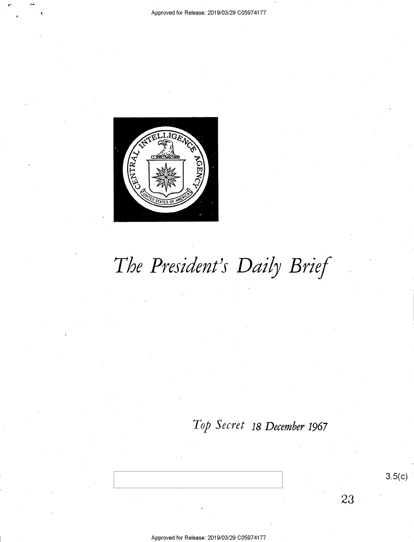

# *The President's Daily Brief*

### *Top Secret* 18 *December* **1967**

3.5(c)

23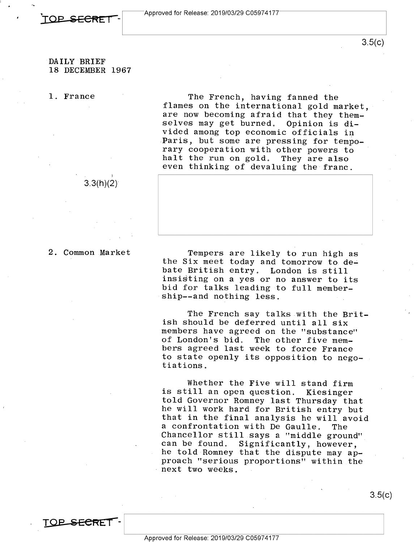

Approved for Release: 2019/03/29 C0597 417 *I* 

#### DAILY BRIEF **18 DECEMBER 1967**

1. France

The French, having fanned the flames on the international gold market, are now becoming afraid that they them-<br>selves may get burned. Opinion is diselves may get burned. vided among top economic officials in Paris, but some are pressing for temporary cooperation with other powers to<br>halt the run on gold. They are also halt the run on gold. even thinking of devaluing the franc.

2. Common Market

**TOP SECF<Er-** -

 $3.3(h)(2)$ 

Tempers are likely to run high as the Six meet today and tomorrow to debate British entry. London is still insisting on a yes or no answer to its bid for talks leading to full membership--and nothing less.

The French say talks with the British should be deferred until all six members have agreed on the "substance" of London's bid. The other five members agreed last week to force France to state openly its opposition to negotiations.

Whether the Five will stand firm is still an open question. Kiesinger told Governor Romney last Thursday that he will work hard for British entry but that in the final analysis he will avoid a confrontation with De Gaulle. The Chancellor still says a "middle ground" can be found. Significantly, however, he told Romney that the dispute may approach "serious proportions" within the next two weeks.

3.5(c)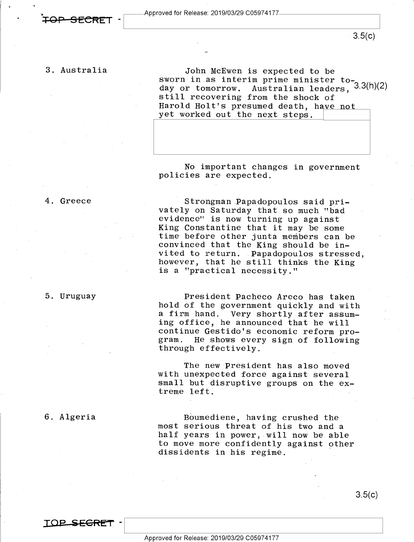$3.5(c)$ 

#### 3. Australia

John McEwen is expected to be sworn in as interim prime minister to-<br>day or tomorrow. Australian leaders, <sup>3.3(h)(2)</sup> day or tomorrow. Australian leaders,<br>still recovering from the shock of Harold Holt's presumed death, have not yet worked out the next steps.

No important changes in government policies are expected.

#### 4. Greece

Strongman Papadopoulos said privately on Saturday that so much "bad evidence" is now turning up against King Constantine that it may be some time before other junta members can be convinced that the King should be invited to return. Papadopoulos stressed, however, that he still thinks the King is a "practical necessity."

#### 5. Uruguay

President Pacheco Areco has taken hold of the government quickly and with a firm hand. Very shortly after assuming office, he announced that he will continue Gestido's economic reform program. He shows every sign of following through effectively.

The new President has also moved with unexpected force against several small but disruptive groups on the extreme left.

#### 6. Algeria

Boumediene, having crushed the most serious threat of his two and a half years in power, will now be able to move more confidently against other dissidents in his regime.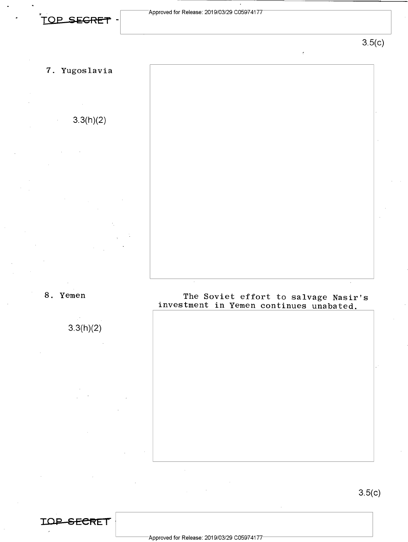3.5(c)

7. Yugoslavia

3.3(h)(2)

8. Yemen

3.3(h)(2)

**IOP SECRET** 

The Soviet effort to salvage Nasir's investment in Yemen continues unabated.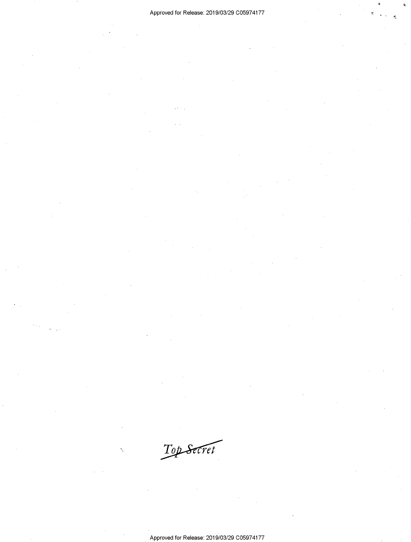4

Approved for Release: 2019/03/29 C0597 4177

Top Secret

 $\checkmark$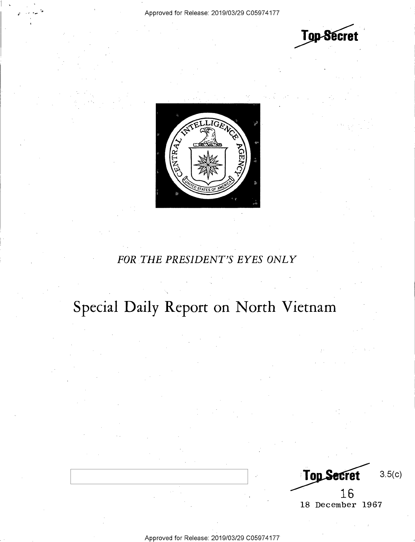$\vert \cdot \vert$ 





### *FOR THE PRESIDENT'S EYES ONLY*

## **Special Daily Report on North Vietnam**

**Top Secret** 3.5(c) 16 18 December 1967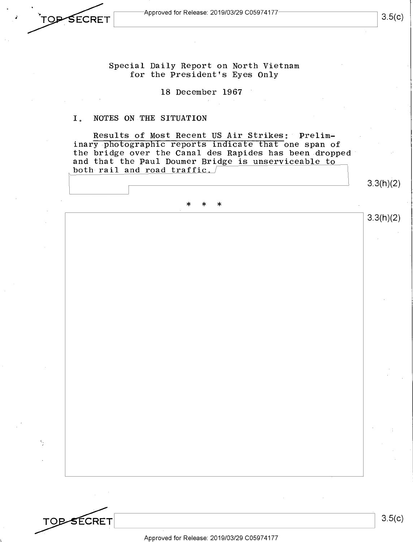**TOP SECRET** 

I

 $\epsilon,$ 

**TOP-SECRET** 

•'

Special Daily Report on North Vietnam for the President's Eyes Only

18 December 1967

#### I. NOTES ON THE SITUATION

Results of Most Recent US Air Strikes: Preliminary photographic reports indicate that one span of the bridge over the Canal des Rapides has been dropped and that the Paul Doumer Bridge is unserviceable to both rail and road  $\text{traffic.}$ 

3.3(h)(2)

3.3(h)(2)

### \* \* \*

Approved for Release: 2019/03/29 C0597 4177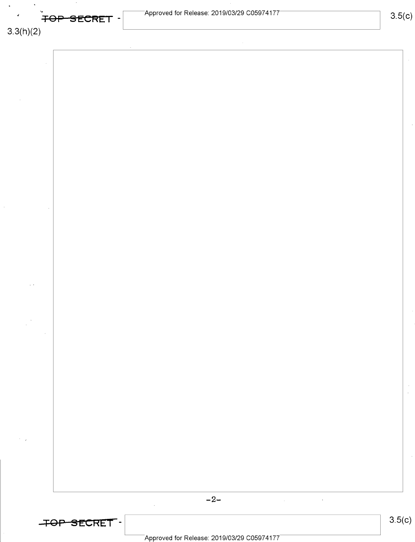| FOP SECRET -    | $^-$ Approved for Release: 2019/03/29 C05974177 $^-$                                                                                  | 3.5(c)        |
|-----------------|---------------------------------------------------------------------------------------------------------------------------------------|---------------|
| 3.3(h)(2)       |                                                                                                                                       |               |
|                 |                                                                                                                                       |               |
|                 |                                                                                                                                       |               |
|                 |                                                                                                                                       |               |
|                 |                                                                                                                                       |               |
|                 |                                                                                                                                       |               |
|                 |                                                                                                                                       |               |
|                 |                                                                                                                                       |               |
|                 |                                                                                                                                       |               |
|                 |                                                                                                                                       |               |
| $\sim$          |                                                                                                                                       |               |
|                 |                                                                                                                                       |               |
|                 |                                                                                                                                       |               |
|                 |                                                                                                                                       |               |
|                 |                                                                                                                                       |               |
|                 |                                                                                                                                       | $\frac{1}{2}$ |
|                 |                                                                                                                                       |               |
| $\gamma=\gamma$ |                                                                                                                                       |               |
|                 |                                                                                                                                       |               |
|                 | $-2-$<br>$\mathcal{L}^{\mathcal{L}}$ and $\mathcal{L}^{\mathcal{L}}$ are the set of the set of the set of $\mathcal{L}^{\mathcal{L}}$ |               |
| TOP SECRET.     | $\alpha$                                                                                                                              | 3.5(c)        |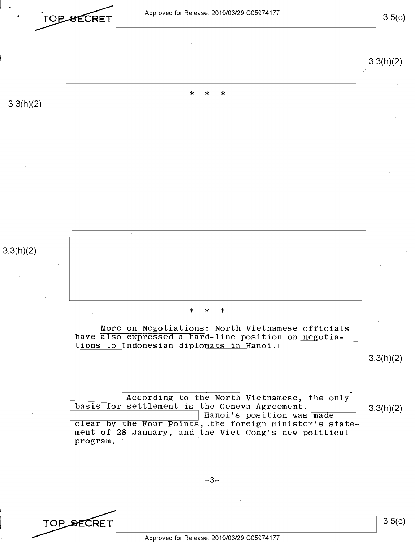

-3-

TOP SECRET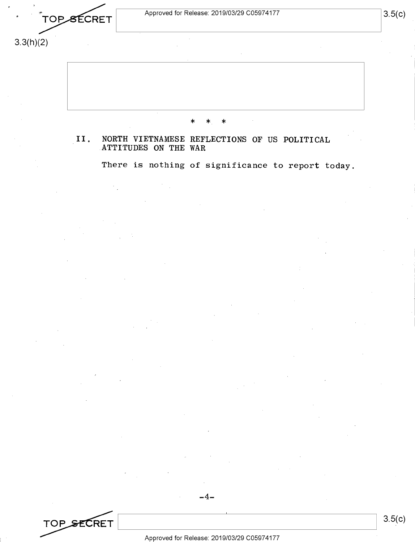TOPSECRET

3.3(h)(2)



II. NORTH VIETNAMESE REFLECTIONS OF US POLITICAL ATTITUDES ON THE WAR

There is nothing of significance to report today.



 $-4-$